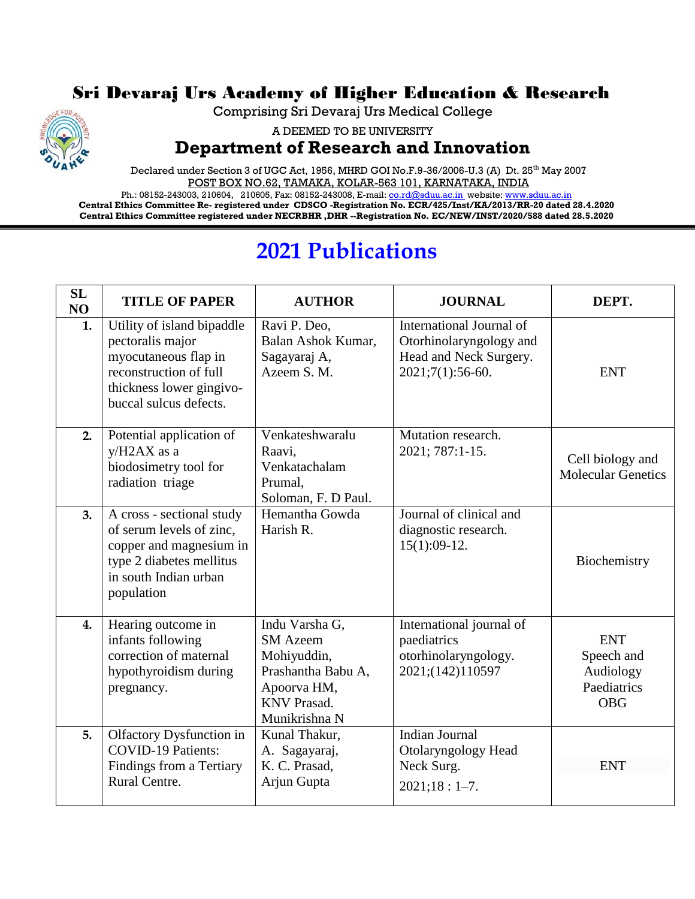## Sri Devaraj Urs Academy of Higher Education & Research



A DEEMED TO BE UNIVERSITY

## **Department of Research and Innovation**

Declared under Section 3 of UGC Act, 1956, MHRD GOI No.F.9-36/2006-U.3 (A) Dt. 25<sup>th</sup> May 2007 POST BOX NO.62, TAMAKA, KOLAR-563 101, KARNATAKA, INDIA

Ph.: 08152-243003, 210604, 210605, Fax: 08152-243008, E-mail[: co.rd@sduu.ac.in](mailto:co.rd@sduu.ac.in) website[: www.sduu.ac.in](http://www.sduu.ac.in/) **Central Ethics Committee Re- registered under CDSCO -Registration No. ECR/425/Inst/KA/2013/RR-20 dated 28.4.2020 Central Ethics Committee registered under NECRBHR ,DHR --Registration No. EC/NEW/INST/2020/588 dated 28.5.2020**

## **2021 Publications**

| <b>SL</b><br>NO | <b>TITLE OF PAPER</b>                                                                                                                                  | <b>AUTHOR</b>                                                                                                                | <b>JOURNAL</b>                                                                                      | DEPT.                                                              |
|-----------------|--------------------------------------------------------------------------------------------------------------------------------------------------------|------------------------------------------------------------------------------------------------------------------------------|-----------------------------------------------------------------------------------------------------|--------------------------------------------------------------------|
| 1.              | Utility of island bipaddle<br>pectoralis major<br>myocutaneous flap in<br>reconstruction of full<br>thickness lower gingivo-<br>buccal sulcus defects. | Ravi P. Deo,<br>Balan Ashok Kumar,<br>Sagayaraj A,<br>Azeem S. M.                                                            | International Journal of<br>Otorhinolaryngology and<br>Head and Neck Surgery.<br>$2021;7(1):56-60.$ | <b>ENT</b>                                                         |
| 2.              | Potential application of<br>y/H2AX as a<br>biodosimetry tool for<br>radiation triage                                                                   | Venkateshwaralu<br>Raavi,<br>Venkatachalam<br>Prumal.<br>Soloman, F. D Paul.                                                 | Mutation research.<br>2021; 787:1-15.                                                               | Cell biology and<br><b>Molecular Genetics</b>                      |
| 3.              | A cross - sectional study<br>of serum levels of zinc,<br>copper and magnesium in<br>type 2 diabetes mellitus<br>in south Indian urban<br>population    | Hemantha Gowda<br>Harish R.                                                                                                  | Journal of clinical and<br>diagnostic research.<br>$15(1):09-12.$                                   | Biochemistry                                                       |
| 4.              | Hearing outcome in<br>infants following<br>correction of maternal<br>hypothyroidism during<br>pregnancy.                                               | Indu Varsha G,<br><b>SM</b> Azeem<br>Mohiyuddin,<br>Prashantha Babu A,<br>Apoorva HM,<br><b>KNV Prasad.</b><br>Munikrishna N | International journal of<br>paediatrics<br>otorhinolaryngology.<br>2021;(142)110597                 | <b>ENT</b><br>Speech and<br>Audiology<br>Paediatrics<br><b>OBG</b> |
| 5.              | Olfactory Dysfunction in<br><b>COVID-19 Patients:</b><br>Findings from a Tertiary<br>Rural Centre.                                                     | Kunal Thakur,<br>A. Sagayaraj,<br>K. C. Prasad,<br>Arjun Gupta                                                               | <b>Indian Journal</b><br>Otolaryngology Head<br>Neck Surg.<br>$2021;18:1-7.$                        | <b>ENT</b>                                                         |

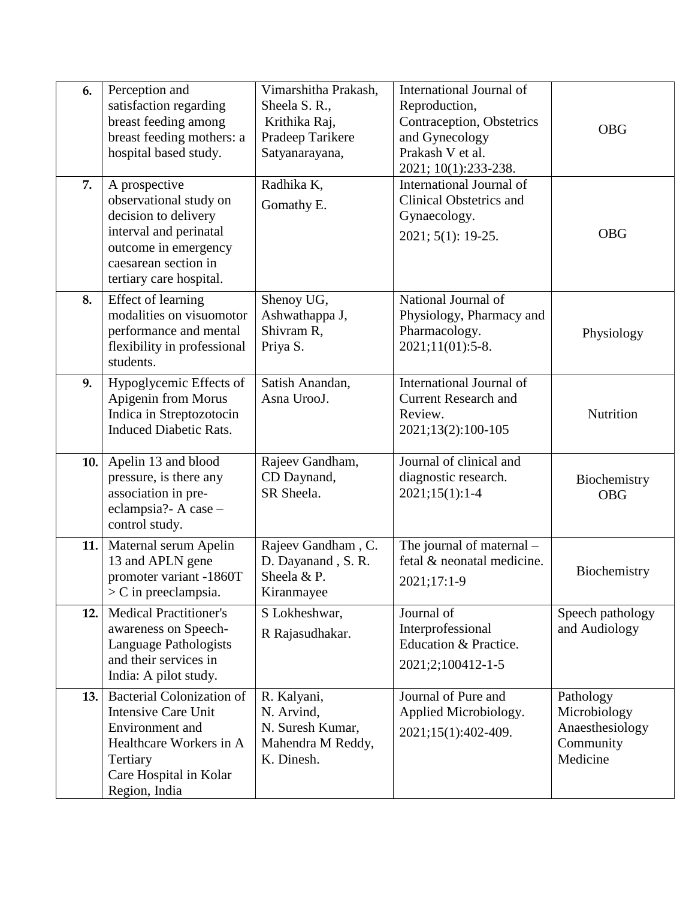| 6.  | Perception and<br>satisfaction regarding<br>breast feeding among<br>breast feeding mothers: a                                                                        | Vimarshitha Prakash,<br>Sheela S. R.,<br>Krithika Raj,<br>Pradeep Tarikere       | International Journal of<br>Reproduction,<br>Contraception, Obstetrics<br>and Gynecology         | <b>OBG</b>                                                            |
|-----|----------------------------------------------------------------------------------------------------------------------------------------------------------------------|----------------------------------------------------------------------------------|--------------------------------------------------------------------------------------------------|-----------------------------------------------------------------------|
|     | hospital based study.                                                                                                                                                | Satyanarayana,                                                                   | Prakash V et al.<br>2021; 10(1):233-238.                                                         |                                                                       |
| 7.  | A prospective<br>observational study on<br>decision to delivery<br>interval and perinatal<br>outcome in emergency<br>caesarean section in<br>tertiary care hospital. | Radhika K,<br>Gomathy E.                                                         | International Journal of<br><b>Clinical Obstetrics and</b><br>Gynaecology.<br>2021; 5(1): 19-25. | <b>OBG</b>                                                            |
| 8.  | Effect of learning<br>modalities on visuomotor<br>performance and mental<br>flexibility in professional<br>students.                                                 | Shenoy UG,<br>Ashwathappa J,<br>Shivram R,<br>Priya S.                           | National Journal of<br>Physiology, Pharmacy and<br>Pharmacology.<br>2021;11(01):5-8.             | Physiology                                                            |
| 9.  | Hypoglycemic Effects of<br>Apigenin from Morus<br>Indica in Streptozotocin<br><b>Induced Diabetic Rats.</b>                                                          | Satish Anandan,<br>Asna UrooJ.                                                   | International Journal of<br><b>Current Research and</b><br>Review.<br>2021;13(2):100-105         | Nutrition                                                             |
| 10. | Apelin 13 and blood<br>pressure, is there any<br>association in pre-<br>eclampsia? - A case -<br>control study.                                                      | Rajeev Gandham,<br>CD Daynand,<br>SR Sheela.                                     | Journal of clinical and<br>diagnostic research.<br>$2021;15(1):1-4$                              | Biochemistry<br><b>OBG</b>                                            |
| 11. | Maternal serum Apelin<br>13 and APLN gene<br>promoter variant -1860T<br>$>$ C in preeclampsia.                                                                       | Rajeev Gandham, C.<br>D. Dayanand, S.R.<br>Sheela & P.<br>Kiranmayee             | The journal of maternal -<br>fetal & neonatal medicine.<br>2021;17:1-9                           | Biochemistry                                                          |
| 12. | <b>Medical Practitioner's</b><br>awareness on Speech-<br>Language Pathologists<br>and their services in<br>India: A pilot study.                                     | S Lokheshwar,<br>R Rajasudhakar.                                                 | Journal of<br>Interprofessional<br>Education & Practice.<br>2021;2;100412-1-5                    | Speech pathology<br>and Audiology                                     |
| 13. | <b>Bacterial Colonization of</b><br><b>Intensive Care Unit</b><br>Environment and<br>Healthcare Workers in A<br>Tertiary<br>Care Hospital in Kolar<br>Region, India  | R. Kalyani,<br>N. Arvind,<br>N. Suresh Kumar,<br>Mahendra M Reddy,<br>K. Dinesh. | Journal of Pure and<br>Applied Microbiology.<br>2021;15(1):402-409.                              | Pathology<br>Microbiology<br>Anaesthesiology<br>Community<br>Medicine |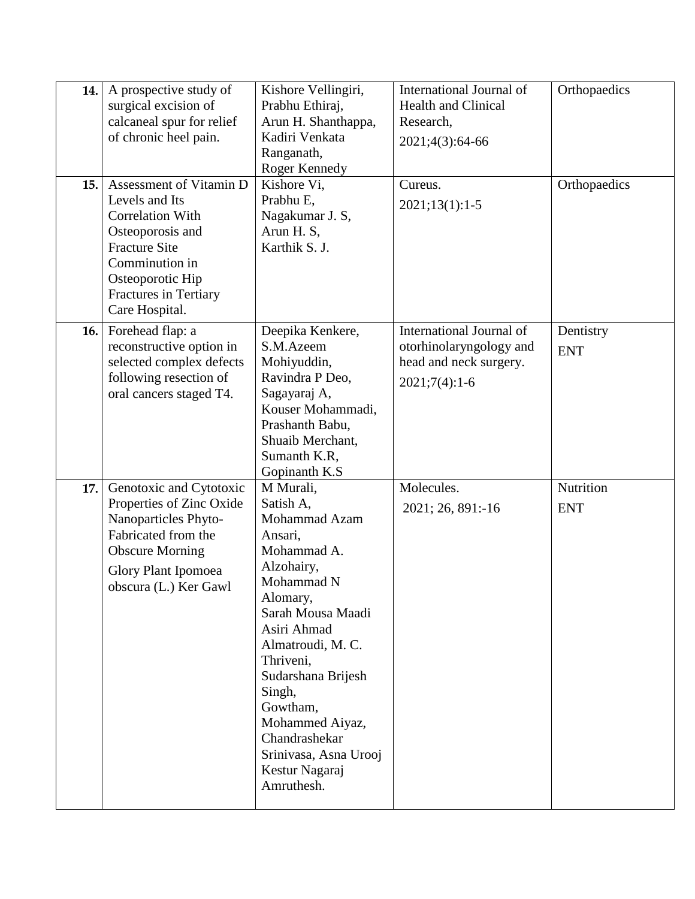| 14. | A prospective study of     | Kishore Vellingiri,   | <b>International Journal of</b> | Orthopaedics |
|-----|----------------------------|-----------------------|---------------------------------|--------------|
|     | surgical excision of       | Prabhu Ethiraj,       | <b>Health and Clinical</b>      |              |
|     | calcaneal spur for relief  | Arun H. Shanthappa,   | Research,                       |              |
|     | of chronic heel pain.      | Kadiri Venkata        | 2021;4(3):64-66                 |              |
|     |                            | Ranganath,            |                                 |              |
|     |                            | Roger Kennedy         |                                 |              |
| 15. | Assessment of Vitamin D    | Kishore Vi,           | Cureus.                         | Orthopaedics |
|     | Levels and Its             | Prabhu E,             | $2021;13(1):1-5$                |              |
|     | <b>Correlation With</b>    | Nagakumar J. S,       |                                 |              |
|     | Osteoporosis and           | Arun H. S,            |                                 |              |
|     | <b>Fracture Site</b>       | Karthik S. J.         |                                 |              |
|     | Comminution in             |                       |                                 |              |
|     | Osteoporotic Hip           |                       |                                 |              |
|     | Fractures in Tertiary      |                       |                                 |              |
|     | Care Hospital.             |                       |                                 |              |
| 16. | Forehead flap: a           | Deepika Kenkere,      | International Journal of        | Dentistry    |
|     | reconstructive option in   | S.M.Azeem             | otorhinolaryngology and         |              |
|     | selected complex defects   | Mohiyuddin,           | head and neck surgery.          | <b>ENT</b>   |
|     | following resection of     | Ravindra P Deo,       |                                 |              |
|     | oral cancers staged T4.    | Sagayaraj A,          | $2021;7(4):1-6$                 |              |
|     |                            | Kouser Mohammadi,     |                                 |              |
|     |                            | Prashanth Babu,       |                                 |              |
|     |                            | Shuaib Merchant,      |                                 |              |
|     |                            | Sumanth K.R,          |                                 |              |
|     |                            | Gopinanth K.S         |                                 |              |
| 17. | Genotoxic and Cytotoxic    | M Murali,             | Molecules.                      | Nutrition    |
|     | Properties of Zinc Oxide   | Satish A,             | 2021; 26, 891:-16               | <b>ENT</b>   |
|     | Nanoparticles Phyto-       | Mohammad Azam         |                                 |              |
|     | Fabricated from the        | Ansari,               |                                 |              |
|     | <b>Obscure Morning</b>     | Mohammad A.           |                                 |              |
|     | <b>Glory Plant Ipomoea</b> | Alzohairy,            |                                 |              |
|     | obscura (L.) Ker Gawl      | Mohammad N            |                                 |              |
|     |                            | Alomary,              |                                 |              |
|     |                            | Sarah Mousa Maadi     |                                 |              |
|     |                            | Asiri Ahmad           |                                 |              |
|     |                            | Almatroudi, M. C.     |                                 |              |
|     |                            | Thriveni.             |                                 |              |
|     |                            | Sudarshana Brijesh    |                                 |              |
|     |                            | Singh,                |                                 |              |
|     |                            | Gowtham,              |                                 |              |
|     |                            | Mohammed Aiyaz,       |                                 |              |
|     |                            | Chandrashekar         |                                 |              |
|     |                            | Srinivasa, Asna Urooj |                                 |              |
|     |                            | Kestur Nagaraj        |                                 |              |
|     |                            | Amruthesh.            |                                 |              |
|     |                            |                       |                                 |              |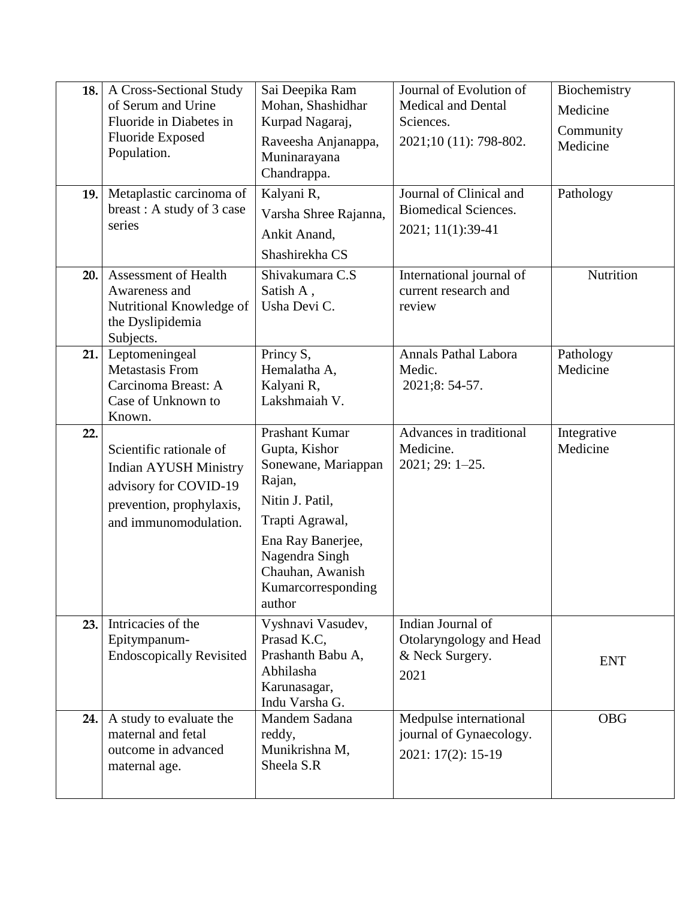| 18.<br>19. | A Cross-Sectional Study<br>of Serum and Urine<br>Fluoride in Diabetes in<br><b>Fluoride Exposed</b><br>Population.<br>Metaplastic carcinoma of<br>breast: A study of 3 case<br>series | Sai Deepika Ram<br>Mohan, Shashidhar<br>Kurpad Nagaraj,<br>Raveesha Anjanappa,<br>Muninarayana<br>Chandrappa.<br>Kalyani R,<br>Varsha Shree Rajanna,<br>Ankit Anand,<br>Shashirekha CS            | Journal of Evolution of<br><b>Medical and Dental</b><br>Sciences.<br>2021;10 (11): 798-802.<br>Journal of Clinical and<br><b>Biomedical Sciences.</b><br>2021; 11(1):39-41 | Biochemistry<br>Medicine<br>Community<br>Medicine<br>Pathology |
|------------|---------------------------------------------------------------------------------------------------------------------------------------------------------------------------------------|---------------------------------------------------------------------------------------------------------------------------------------------------------------------------------------------------|----------------------------------------------------------------------------------------------------------------------------------------------------------------------------|----------------------------------------------------------------|
| 20.        | Assessment of Health<br>Awareness and<br>Nutritional Knowledge of<br>the Dyslipidemia<br>Subjects.                                                                                    | Shivakumara C.S<br>Satish A,<br>Usha Devi C.                                                                                                                                                      | International journal of<br>current research and<br>review                                                                                                                 | Nutrition                                                      |
| 21.        | Leptomeningeal<br><b>Metastasis From</b><br>Carcinoma Breast: A<br>Case of Unknown to<br>Known.                                                                                       | Princy S,<br>Hemalatha A,<br>Kalyani R,<br>Lakshmaiah V.                                                                                                                                          | <b>Annals Pathal Labora</b><br>Medic.<br>2021;8: 54-57.                                                                                                                    | Pathology<br>Medicine                                          |
| 22.        | Scientific rationale of<br><b>Indian AYUSH Ministry</b><br>advisory for COVID-19<br>prevention, prophylaxis,<br>and immunomodulation.                                                 | Prashant Kumar<br>Gupta, Kishor<br>Sonewane, Mariappan<br>Rajan,<br>Nitin J. Patil,<br>Trapti Agrawal,<br>Ena Ray Banerjee,<br>Nagendra Singh<br>Chauhan, Awanish<br>Kumarcorresponding<br>author | Advances in traditional<br>Medicine.<br>$2021; 29: 1-25.$                                                                                                                  | Integrative<br>Medicine                                        |
| 23.        | Intricacies of the<br>Epitympanum-<br><b>Endoscopically Revisited</b>                                                                                                                 | Vyshnavi Vasudev,<br>Prasad K.C.<br>Prashanth Babu A,<br>Abhilasha<br>Karunasagar,<br>Indu Varsha G.                                                                                              | Indian Journal of<br>Otolaryngology and Head<br>& Neck Surgery.<br>2021                                                                                                    | <b>ENT</b>                                                     |
| 24.        | A study to evaluate the<br>maternal and fetal<br>outcome in advanced<br>maternal age.                                                                                                 | Mandem Sadana<br>reddy,<br>Munikrishna M,<br>Sheela S.R                                                                                                                                           | Medpulse international<br>journal of Gynaecology.<br>2021: 17(2): 15-19                                                                                                    | <b>OBG</b>                                                     |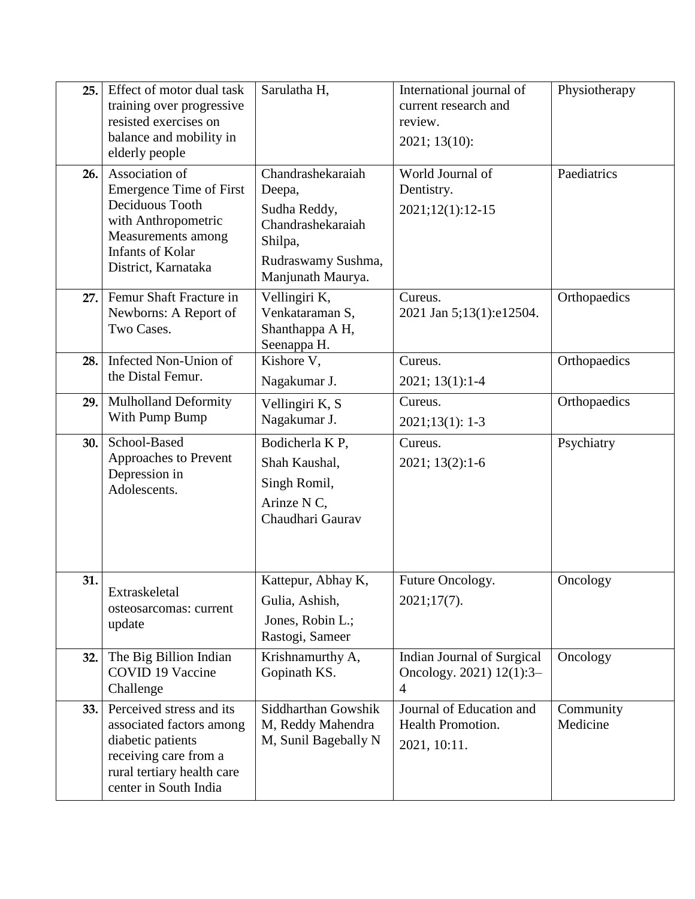| 25. | Effect of motor dual task<br>training over progressive<br>resisted exercises on<br>balance and mobility in<br>elderly people                                       | Sarulatha H,                                                                                                           | International journal of<br>current research and<br>review.<br>2021; 13(10): | Physiotherapy         |
|-----|--------------------------------------------------------------------------------------------------------------------------------------------------------------------|------------------------------------------------------------------------------------------------------------------------|------------------------------------------------------------------------------|-----------------------|
| 26. | Association of<br><b>Emergence Time of First</b><br>Deciduous Tooth<br>with Anthropometric<br>Measurements among<br><b>Infants of Kolar</b><br>District, Karnataka | Chandrashekaraiah<br>Deepa,<br>Sudha Reddy,<br>Chandrashekaraiah<br>Shilpa,<br>Rudraswamy Sushma,<br>Manjunath Maurya. | World Journal of<br>Dentistry.<br>2021;12(1):12-15                           | Paediatrics           |
| 27. | Femur Shaft Fracture in<br>Newborns: A Report of<br>Two Cases.                                                                                                     | Vellingiri K,<br>Venkataraman S,<br>Shanthappa A H,<br>Seenappa H.                                                     | Cureus.<br>2021 Jan 5;13(1):e12504.                                          | Orthopaedics          |
| 28. | Infected Non-Union of<br>the Distal Femur.                                                                                                                         | Kishore V,<br>Nagakumar J.                                                                                             | Cureus.<br>$2021; 13(1): 1-4$                                                | Orthopaedics          |
| 29. | <b>Mulholland Deformity</b><br>With Pump Bump                                                                                                                      | Vellingiri K, S<br>Nagakumar J.                                                                                        | Cureus.<br>$2021;13(1):1-3$                                                  | Orthopaedics          |
| 30. | School-Based<br>Approaches to Prevent<br>Depression in<br>Adolescents.                                                                                             | Bodicherla KP,<br>Shah Kaushal,<br>Singh Romil,<br>Arinze N C,<br>Chaudhari Gaurav                                     | Cureus.<br>2021; 13(2):1-6                                                   | Psychiatry            |
| 31. | Extraskeletal<br>osteosarcomas: current<br>update                                                                                                                  | Kattepur, Abhay K,<br>Gulia, Ashish,<br>Jones, Robin L.;<br>Rastogi, Sameer                                            | Future Oncology.<br>2021;17(7).                                              | Oncology              |
| 32. | The Big Billion Indian<br><b>COVID 19 Vaccine</b><br>Challenge                                                                                                     | Krishnamurthy A,<br>Gopinath KS.                                                                                       | Indian Journal of Surgical<br>Oncology. 2021) 12(1):3-<br>$\overline{4}$     | Oncology              |
| 33. | Perceived stress and its<br>associated factors among<br>diabetic patients<br>receiving care from a<br>rural tertiary health care<br>center in South India          | Siddharthan Gowshik<br>M, Reddy Mahendra<br>M, Sunil Bagebally N                                                       | Journal of Education and<br>Health Promotion.<br>2021, 10:11.                | Community<br>Medicine |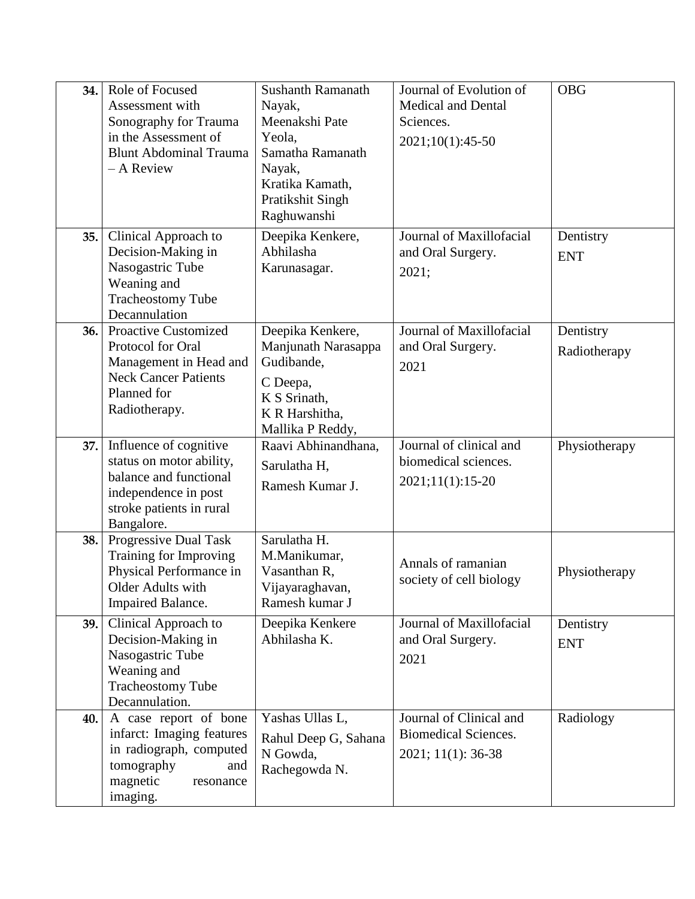| 34. | Role of Focused<br>Assessment with<br>Sonography for Trauma<br>in the Assessment of<br><b>Blunt Abdominal Trauma</b><br>- A Review             | <b>Sushanth Ramanath</b><br>Nayak,<br>Meenakshi Pate<br>Yeola,<br>Samatha Ramanath<br>Nayak,<br>Kratika Kamath,<br>Pratikshit Singh<br>Raghuwanshi | Journal of Evolution of<br><b>Medical and Dental</b><br>Sciences.<br>2021;10(1):45-50 | <b>OBG</b>                |
|-----|------------------------------------------------------------------------------------------------------------------------------------------------|----------------------------------------------------------------------------------------------------------------------------------------------------|---------------------------------------------------------------------------------------|---------------------------|
| 35. | Clinical Approach to<br>Decision-Making in<br>Nasogastric Tube<br>Weaning and<br><b>Tracheostomy Tube</b><br>Decannulation                     | Deepika Kenkere,<br>Abhilasha<br>Karunasagar.                                                                                                      | Journal of Maxillofacial<br>and Oral Surgery.<br>2021;                                | Dentistry<br><b>ENT</b>   |
| 36. | <b>Proactive Customized</b><br>Protocol for Oral<br>Management in Head and<br><b>Neck Cancer Patients</b><br>Planned for<br>Radiotherapy.      | Deepika Kenkere,<br>Manjunath Narasappa<br>Gudibande,<br>C Deepa,<br>K S Srinath,<br>K R Harshitha,<br>Mallika P Reddy,                            | Journal of Maxillofacial<br>and Oral Surgery.<br>2021                                 | Dentistry<br>Radiotherapy |
| 37. | Influence of cognitive<br>status on motor ability,<br>balance and functional<br>independence in post<br>stroke patients in rural<br>Bangalore. | Raavi Abhinandhana,<br>Sarulatha H,<br>Ramesh Kumar J.                                                                                             | Journal of clinical and<br>biomedical sciences.<br>$2021;11(1):15-20$                 | Physiotherapy             |
| 38. | Progressive Dual Task<br>Training for Improving<br>Physical Performance in<br>Older Adults with<br>Impaired Balance.                           | Sarulatha H.<br>M.Manikumar,<br>Vasanthan R,<br>Vijayaraghavan,<br>Ramesh kumar J                                                                  | Annals of ramanian<br>society of cell biology                                         | Physiotherapy             |
| 39. | Clinical Approach to<br>Decision-Making in<br>Nasogastric Tube<br>Weaning and<br><b>Tracheostomy Tube</b><br>Decannulation.                    | Deepika Kenkere<br>Abhilasha K.                                                                                                                    | Journal of Maxillofacial<br>and Oral Surgery.<br>2021                                 | Dentistry<br><b>ENT</b>   |
| 40. | A case report of bone<br>infarct: Imaging features<br>in radiograph, computed<br>tomography<br>and<br>magnetic<br>resonance<br>imaging.        | Yashas Ullas L,<br>Rahul Deep G, Sahana<br>N Gowda,<br>Rachegowda N.                                                                               | Journal of Clinical and<br><b>Biomedical Sciences.</b><br>2021; 11(1): 36-38          | Radiology                 |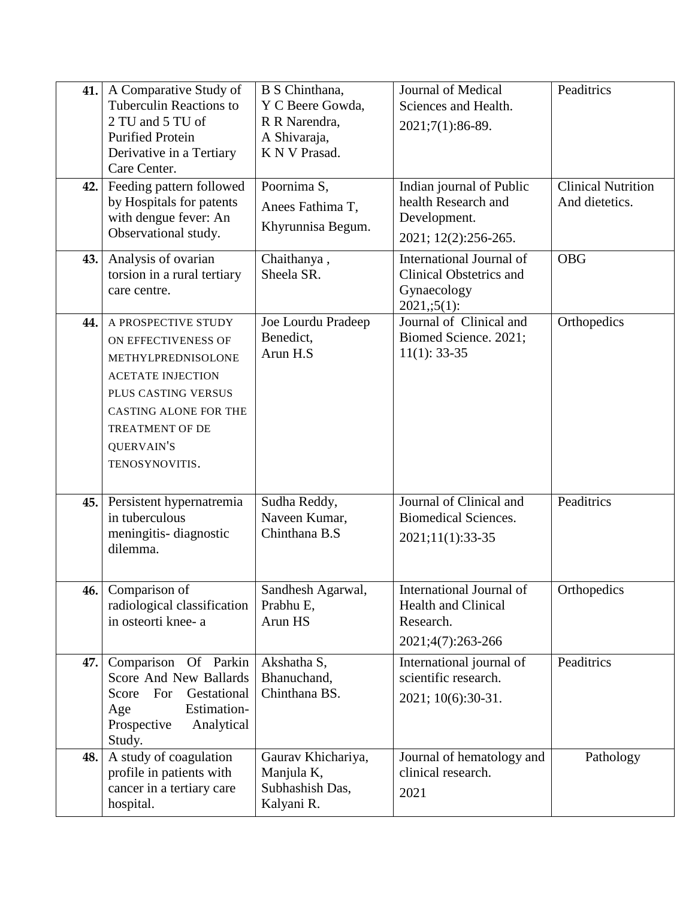| 41.<br>42.1 | A Comparative Study of<br><b>Tuberculin Reactions to</b><br>2 TU and 5 TU of<br><b>Purified Protein</b><br>Derivative in a Tertiary<br>Care Center.<br>Feeding pattern followed                                      | B S Chinthana,<br>Y C Beere Gowda,<br>R R Narendra,<br>A Shivaraja,<br>K N V Prasad.<br>Poornima S, | Journal of Medical<br>Sciences and Health.<br>2021;7(1):86-89.<br>Indian journal of Public  | Peaditrics<br><b>Clinical Nutrition</b> |
|-------------|----------------------------------------------------------------------------------------------------------------------------------------------------------------------------------------------------------------------|-----------------------------------------------------------------------------------------------------|---------------------------------------------------------------------------------------------|-----------------------------------------|
|             | by Hospitals for patents<br>with dengue fever: An<br>Observational study.                                                                                                                                            | Anees Fathima T,<br>Khyrunnisa Begum.                                                               | health Research and<br>Development.<br>2021; 12(2):256-265.                                 | And dietetics.                          |
| 43.1        | Analysis of ovarian<br>torsion in a rural tertiary<br>care centre.                                                                                                                                                   | Chaithanya,<br>Sheela SR.                                                                           | International Journal of<br><b>Clinical Obstetrics and</b><br>Gynaecology<br>$2021, 5(1)$ : | <b>OBG</b>                              |
| 44.         | A PROSPECTIVE STUDY<br>ON EFFECTIVENESS OF<br>METHYLPREDNISOLONE<br><b>ACETATE INJECTION</b><br>PLUS CASTING VERSUS<br><b>CASTING ALONE FOR THE</b><br><b>TREATMENT OF DE</b><br><b>QUERVAIN'S</b><br>TENOSYNOVITIS. | Joe Lourdu Pradeep<br>Benedict,<br>Arun H.S                                                         | Journal of Clinical and<br>Biomed Science. 2021;<br>$11(1): 33-35$                          | Orthopedics                             |
| 45.1        | Persistent hypernatremia<br>in tuberculous<br>meningitis-diagnostic<br>dilemma.                                                                                                                                      | Sudha Reddy,<br>Naveen Kumar,<br>Chinthana B.S                                                      | Journal of Clinical and<br><b>Biomedical Sciences.</b><br>2021;11(1):33-35                  | Peaditrics                              |
|             | 46. Comparison of<br>radiological classification<br>in osteorti knee- a                                                                                                                                              | Sandhesh Agarwal,<br>Prabhu E,<br>Arun HS                                                           | International Journal of<br><b>Health and Clinical</b><br>Research.<br>2021;4(7):263-266    | Orthopedics                             |
| 47.         | Comparison Of Parkin<br>Score And New Ballards<br>Gestational<br>For<br>Score<br>Estimation-<br>Age<br>Prospective<br>Analytical<br>Study.                                                                           | Akshatha S,<br>Bhanuchand,<br>Chinthana BS.                                                         | International journal of<br>scientific research.<br>2021; 10(6):30-31.                      | Peaditrics                              |
| 48.         | A study of coagulation<br>profile in patients with<br>cancer in a tertiary care<br>hospital.                                                                                                                         | Gaurav Khichariya,<br>Manjula K,<br>Subhashish Das,<br>Kalyani R.                                   | Journal of hematology and<br>clinical research.<br>2021                                     | Pathology                               |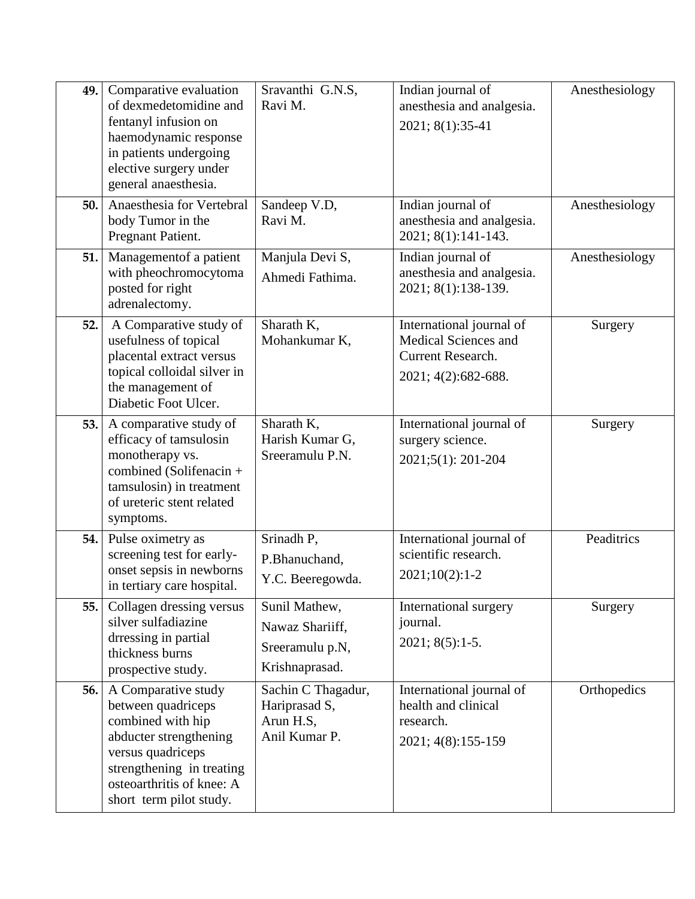| 49.  | Comparative evaluation<br>of dexmedetomidine and<br>fentanyl infusion on<br>haemodynamic response<br>in patients undergoing<br>elective surgery under<br>general anaesthesia.                      | Sravanthi G.N.S,<br>Ravi M.                                           | Indian journal of<br>anesthesia and analgesia.<br>2021; 8(1):35-41                                   | Anesthesiology |
|------|----------------------------------------------------------------------------------------------------------------------------------------------------------------------------------------------------|-----------------------------------------------------------------------|------------------------------------------------------------------------------------------------------|----------------|
| 50.  | Anaesthesia for Vertebral<br>body Tumor in the<br>Pregnant Patient.                                                                                                                                | Sandeep V.D,<br>Ravi M.                                               | Indian journal of<br>anesthesia and analgesia.<br>2021; 8(1):141-143.                                | Anesthesiology |
| 51.  | Managementof a patient<br>with pheochromocytoma<br>posted for right<br>adrenalectomy.                                                                                                              | Manjula Devi S,<br>Ahmedi Fathima.                                    | Indian journal of<br>anesthesia and analgesia.<br>2021; 8(1):138-139.                                | Anesthesiology |
| 52.  | A Comparative study of<br>usefulness of topical<br>placental extract versus<br>topical colloidal silver in<br>the management of<br>Diabetic Foot Ulcer.                                            | Sharath K,<br>Mohankumar K,                                           | International journal of<br><b>Medical Sciences and</b><br>Current Research.<br>2021; 4(2): 682-688. | Surgery        |
| 53.  | A comparative study of<br>efficacy of tamsulosin<br>monotherapy vs.<br>combined (Solifenacin +<br>tamsulosin) in treatment<br>of ureteric stent related<br>symptoms.                               | Sharath K,<br>Harish Kumar G,<br>Sreeramulu P.N.                      | International journal of<br>surgery science.<br>2021;5(1): 201-204                                   | Surgery        |
| 54.  | Pulse oximetry as<br>screening test for early-<br>onset sepsis in newborns<br>in tertiary care hospital.                                                                                           | Srinadh P,<br>P.Bhanuchand,<br>Y.C. Beeregowda.                       | International journal of<br>scientific research.<br>$2021;10(2):1-2$                                 | Peaditrics     |
| 55.1 | Collagen dressing versus<br>silver sulfadiazine<br>drressing in partial<br>thickness burns<br>prospective study.                                                                                   | Sunil Mathew,<br>Nawaz Shariiff,<br>Sreeramulu p.N,<br>Krishnaprasad. | International surgery<br>journal.<br>$2021; 8(5):1-5.$                                               | Surgery        |
| 56.  | A Comparative study<br>between quadriceps<br>combined with hip<br>abducter strengthening<br>versus quadriceps<br>strengthening in treating<br>osteoarthritis of knee: A<br>short term pilot study. | Sachin C Thagadur,<br>Hariprasad S,<br>Arun H.S,<br>Anil Kumar P.     | International journal of<br>health and clinical<br>research.<br>2021; 4(8):155-159                   | Orthopedics    |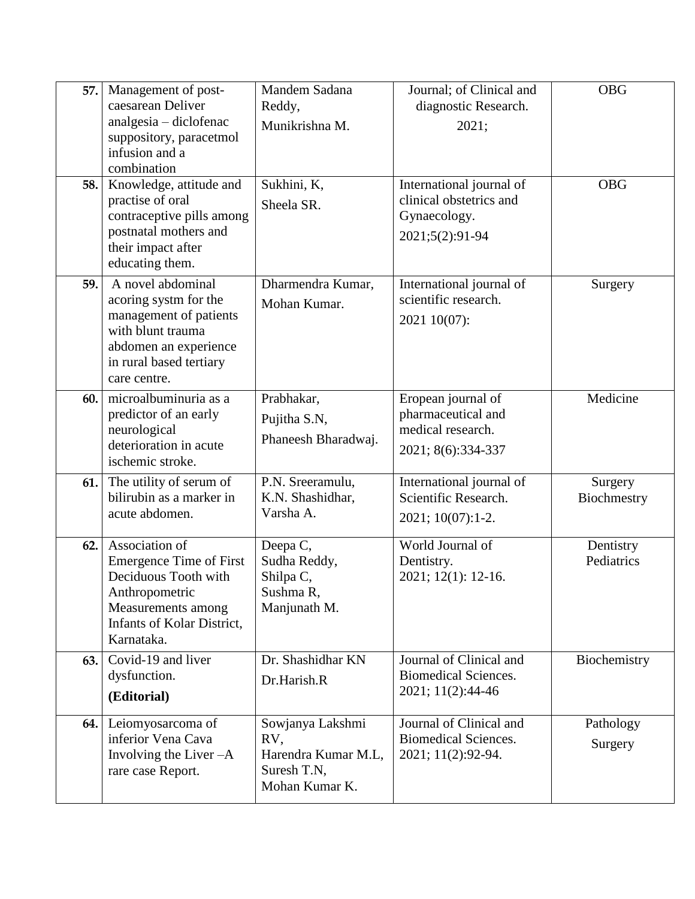| 57. | Management of post-<br>caesarean Deliver                                                                                                                            | Mandem Sadana<br>Reddy,                                                         | Journal; of Clinical and<br>diagnostic Research.                                       | <b>OBG</b>              |
|-----|---------------------------------------------------------------------------------------------------------------------------------------------------------------------|---------------------------------------------------------------------------------|----------------------------------------------------------------------------------------|-------------------------|
|     | analgesia - diclofenac<br>suppository, paracetmol<br>infusion and a<br>combination                                                                                  | Munikrishna M.                                                                  | 2021;                                                                                  |                         |
| 58. | Knowledge, attitude and<br>practise of oral<br>contraceptive pills among<br>postnatal mothers and<br>their impact after<br>educating them.                          | Sukhini, K,<br>Sheela SR.                                                       | International journal of<br>clinical obstetrics and<br>Gynaecology.<br>2021;5(2):91-94 | <b>OBG</b>              |
| 59. | A novel abdominal<br>acoring systm for the<br>management of patients<br>with blunt trauma<br>abdomen an experience<br>in rural based tertiary<br>care centre.       | Dharmendra Kumar,<br>Mohan Kumar.                                               | International journal of<br>scientific research.<br>2021 10(07):                       | Surgery                 |
| 60. | microalbuminuria as a<br>predictor of an early<br>neurological<br>deterioration in acute<br>ischemic stroke.                                                        | Prabhakar,<br>Pujitha S.N,<br>Phaneesh Bharadwaj.                               | Eropean journal of<br>pharmaceutical and<br>medical research.<br>2021; 8(6):334-337    | Medicine                |
| 61. | The utility of serum of<br>bilirubin as a marker in<br>acute abdomen.                                                                                               | P.N. Sreeramulu,<br>K.N. Shashidhar,<br>Varsha A.                               | International journal of<br>Scientific Research.<br>2021; 10(07):1-2.                  | Surgery<br>Biochmestry  |
| 62. | Association of<br><b>Emergence Time of First</b><br>Deciduous Tooth with<br>Anthropometric<br>Measurements among<br><b>Infants of Kolar District,</b><br>Karnataka. | Deepa C,<br>Sudha Reddy,<br>Shilpa C,<br>Sushma R,<br>Manjunath M.              | World Journal of<br>Dentistry.<br>2021; 12(1): 12-16.                                  | Dentistry<br>Pediatrics |
| 63. | Covid-19 and liver<br>dysfunction.<br>(Editorial)                                                                                                                   | Dr. Shashidhar KN<br>Dr.Harish.R                                                | Journal of Clinical and<br><b>Biomedical Sciences.</b><br>2021; 11(2):44-46            | Biochemistry            |
| 64. | Leiomyosarcoma of<br>inferior Vena Cava<br>Involving the Liver $-A$<br>rare case Report.                                                                            | Sowjanya Lakshmi<br>RV,<br>Harendra Kumar M.L.<br>Suresh T.N,<br>Mohan Kumar K. | Journal of Clinical and<br><b>Biomedical Sciences.</b><br>2021; 11(2):92-94.           | Pathology<br>Surgery    |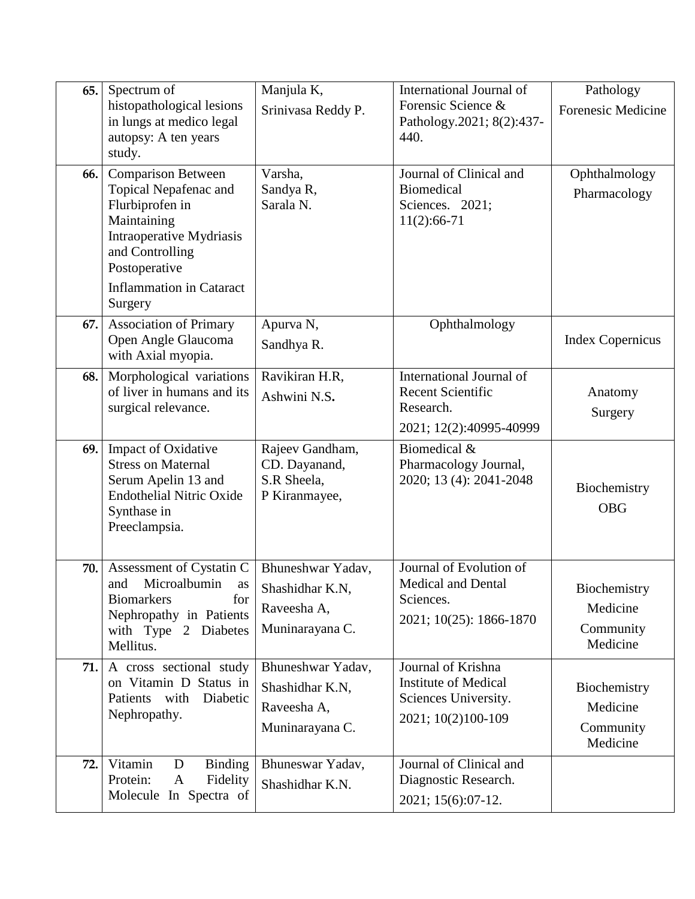| 65. | Spectrum of<br>histopathological lesions<br>in lungs at medico legal<br>autopsy: A ten years<br>study.                                                                                             | Manjula K,<br>Srinivasa Reddy P.                                       | International Journal of<br>Forensic Science &<br>Pathology.2021; 8(2):437-<br>440.             | Pathology<br><b>Forenesic Medicine</b>            |
|-----|----------------------------------------------------------------------------------------------------------------------------------------------------------------------------------------------------|------------------------------------------------------------------------|-------------------------------------------------------------------------------------------------|---------------------------------------------------|
| 66. | <b>Comparison Between</b><br>Topical Nepafenac and<br>Flurbiprofen in<br>Maintaining<br>Intraoperative Mydriasis<br>and Controlling<br>Postoperative<br><b>Inflammation in Cataract</b><br>Surgery | Varsha,<br>Sandya R,<br>Sarala <sub>N.</sub>                           | Journal of Clinical and<br><b>Biomedical</b><br>Sciences. 2021;<br>$11(2):66-71$                | Ophthalmology<br>Pharmacology                     |
| 67. | <b>Association of Primary</b><br>Open Angle Glaucoma<br>with Axial myopia.                                                                                                                         | Apurva N,<br>Sandhya R.                                                | Ophthalmology                                                                                   | <b>Index Copernicus</b>                           |
| 68. | Morphological variations<br>of liver in humans and its<br>surgical relevance.                                                                                                                      | Ravikiran H.R,<br>Ashwini N.S.                                         | International Journal of<br><b>Recent Scientific</b><br>Research.<br>2021; 12(2):40995-40999    | Anatomy<br>Surgery                                |
| 69. | <b>Impact of Oxidative</b><br><b>Stress on Maternal</b><br>Serum Apelin 13 and<br><b>Endothelial Nitric Oxide</b><br>Synthase in<br>Preeclampsia.                                                  | Rajeev Gandham,<br>CD. Dayanand,<br>S.R Sheela,<br>P Kiranmayee,       | Biomedical &<br>Pharmacology Journal,<br>2020; 13 (4): 2041-2048                                | Biochemistry<br><b>OBG</b>                        |
| 70. | Assessment of Cystatin C<br>Microalbumin<br>and<br>as<br><b>Biomarkers</b><br>for<br>Nephropathy in Patients<br>with Type 2 Diabetes<br>Mellitus.                                                  | Bhuneshwar Yadav,<br>Shashidhar K.N,<br>Raveesha A,<br>Muninarayana C. | Journal of Evolution of<br><b>Medical and Dental</b><br>Sciences.<br>2021; 10(25): 1866-1870    | Biochemistry<br>Medicine<br>Community<br>Medicine |
| 71. | A cross sectional study<br>on Vitamin D Status in<br>Patients with<br>Diabetic<br>Nephropathy.                                                                                                     | Bhuneshwar Yadav,<br>Shashidhar K.N,<br>Raveesha A,<br>Muninarayana C. | Journal of Krishna<br><b>Institute of Medical</b><br>Sciences University.<br>2021; 10(2)100-109 | Biochemistry<br>Medicine<br>Community<br>Medicine |
| 72. | Vitamin<br><b>Binding</b><br>D<br>Protein:<br>$\mathbf{A}$<br>Fidelity<br>Molecule In Spectra of                                                                                                   | Bhuneswar Yadav,<br>Shashidhar K.N.                                    | Journal of Clinical and<br>Diagnostic Research.<br>2021; 15(6):07-12.                           |                                                   |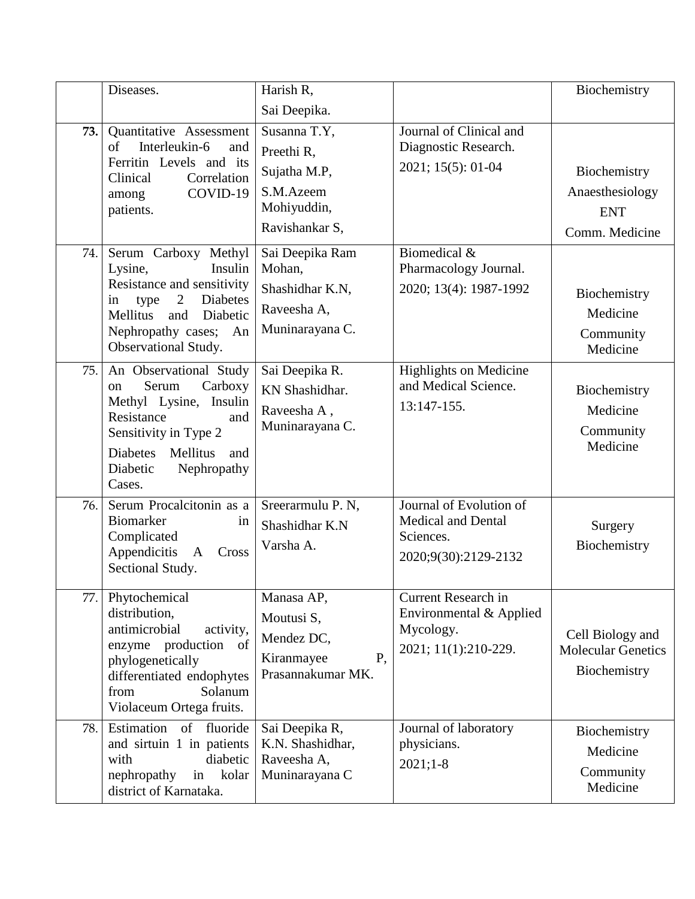|      | Diseases.                                                                                                                                                                                              | Harish R,                                                                                |                                                                                           | Biochemistry                                                    |
|------|--------------------------------------------------------------------------------------------------------------------------------------------------------------------------------------------------------|------------------------------------------------------------------------------------------|-------------------------------------------------------------------------------------------|-----------------------------------------------------------------|
|      |                                                                                                                                                                                                        | Sai Deepika.                                                                             |                                                                                           |                                                                 |
| 73.1 | Quantitative Assessment<br>of<br>Interleukin-6<br>and<br>Ferritin Levels and its<br>Correlation<br>Clinical<br>COVID-19<br>among<br>patients.                                                          | Susanna T.Y,<br>Preethi R,<br>Sujatha M.P,<br>S.M.Azeem<br>Mohiyuddin,<br>Ravishankar S, | Journal of Clinical and<br>Diagnostic Research.<br>2021; 15(5): 01-04                     | Biochemistry<br>Anaesthesiology<br><b>ENT</b><br>Comm. Medicine |
| 74.  | Serum Carboxy Methyl<br>Lysine,<br>Insulin<br>Resistance and sensitivity<br>2<br><b>Diabetes</b><br>in<br>type<br>Mellitus<br>Diabetic<br>and<br>Nephropathy cases;<br>An<br>Observational Study.      | Sai Deepika Ram<br>Mohan,<br>Shashidhar K.N,<br>Raveesha A,<br>Muninarayana C.           | Biomedical &<br>Pharmacology Journal.<br>2020; 13(4): 1987-1992                           | Biochemistry<br>Medicine<br>Community<br>Medicine               |
| 75.  | An Observational Study<br>Serum<br>Carboxy<br>on<br>Methyl Lysine,<br>Insulin<br>Resistance<br>and<br>Sensitivity in Type 2<br><b>Diabetes</b><br>Mellitus<br>and<br>Nephropathy<br>Diabetic<br>Cases. | Sai Deepika R.<br>KN Shashidhar.<br>Raveesha A,<br>Muninarayana C.                       | <b>Highlights on Medicine</b><br>and Medical Science.<br>13:147-155.                      | Biochemistry<br>Medicine<br>Community<br>Medicine               |
| 76.  | Serum Procalcitonin as a<br>Biomarker<br>in<br>Complicated<br>Appendicitis<br>Cross<br>A<br>Sectional Study.                                                                                           | Sreerarmulu P. N,<br>Shashidhar K.N<br>Varsha A.                                         | Journal of Evolution of<br><b>Medical and Dental</b><br>Sciences.<br>2020;9(30):2129-2132 | Surgery<br>Biochemistry                                         |
| 77.  | Phytochemical<br>distribution,<br>antimicrobial<br>activity,<br>of<br>enzyme production<br>phylogenetically<br>differentiated endophytes<br>Solanum<br>from<br>Violaceum Ortega fruits.                | Manasa AP,<br>Moutusi S,<br>Mendez DC,<br>P,<br>Kiranmayee<br>Prasannakumar MK.          | Current Research in<br>Environmental & Applied<br>Mycology.<br>2021; 11(1):210-229.       | Cell Biology and<br><b>Molecular Genetics</b><br>Biochemistry   |
| 78.  | Estimation<br>of fluoride<br>and sirtuin 1 in patients<br>with<br>diabetic<br>nephropathy<br>kolar<br>in<br>district of Karnataka.                                                                     | Sai Deepika R,<br>K.N. Shashidhar,<br>Raveesha A,<br>Muninarayana C                      | Journal of laboratory<br>physicians.<br>$2021;1-8$                                        | Biochemistry<br>Medicine<br>Community<br>Medicine               |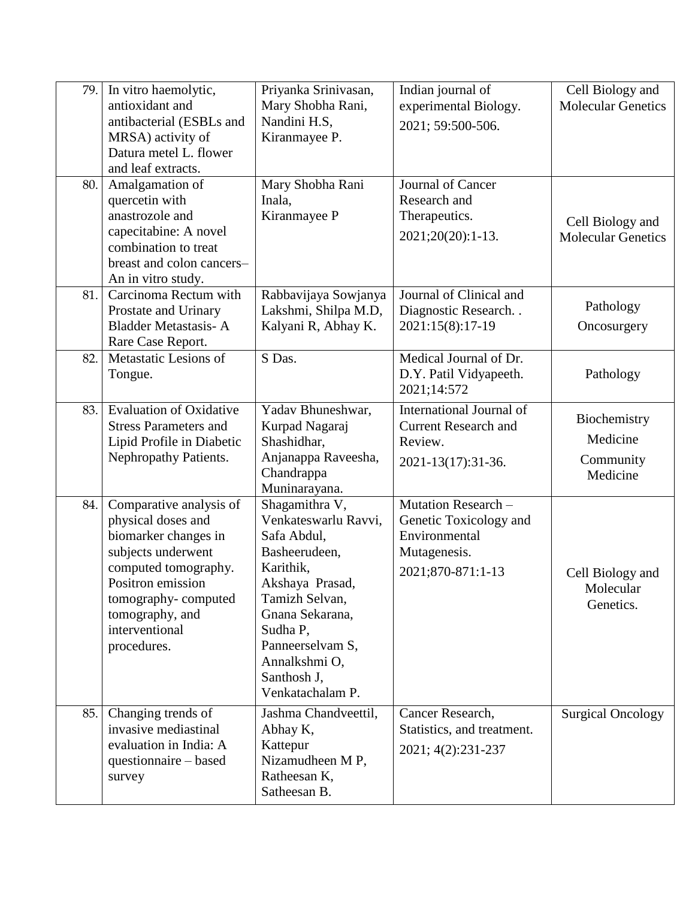| 79. | In vitro haemolytic,<br>antioxidant and<br>antibacterial (ESBLs and<br>MRSA) activity of<br>Datura metel L. flower<br>and leaf extracts.                                                                            | Priyanka Srinivasan,<br>Mary Shobha Rani,<br>Nandini H.S,<br>Kiranmayee P.                                                                                                                                                      | Indian journal of<br>experimental Biology.<br>2021; 59:500-506.                                     | Cell Biology and<br><b>Molecular Genetics</b>     |
|-----|---------------------------------------------------------------------------------------------------------------------------------------------------------------------------------------------------------------------|---------------------------------------------------------------------------------------------------------------------------------------------------------------------------------------------------------------------------------|-----------------------------------------------------------------------------------------------------|---------------------------------------------------|
| 80. | Amalgamation of<br>quercetin with<br>anastrozole and<br>capecitabine: A novel<br>combination to treat<br>breast and colon cancers-<br>An in vitro study.                                                            | Mary Shobha Rani<br>Inala,<br>Kiranmayee P                                                                                                                                                                                      | Journal of Cancer<br>Research and<br>Therapeutics.<br>$2021;20(20):1-13.$                           | Cell Biology and<br><b>Molecular Genetics</b>     |
| 81. | Carcinoma Rectum with<br>Prostate and Urinary<br><b>Bladder Metastasis-A</b><br>Rare Case Report.                                                                                                                   | Rabbavijaya Sowjanya<br>Lakshmi, Shilpa M.D,<br>Kalyani R, Abhay K.                                                                                                                                                             | Journal of Clinical and<br>Diagnostic Research<br>2021:15(8):17-19                                  | Pathology<br>Oncosurgery                          |
| 82. | Metastatic Lesions of<br>Tongue.                                                                                                                                                                                    | S Das.                                                                                                                                                                                                                          | Medical Journal of Dr.<br>D.Y. Patil Vidyapeeth.<br>2021;14:572                                     | Pathology                                         |
| 83. | <b>Evaluation of Oxidative</b><br><b>Stress Parameters and</b><br>Lipid Profile in Diabetic<br>Nephropathy Patients.                                                                                                | Yadav Bhuneshwar,<br>Kurpad Nagaraj<br>Shashidhar,<br>Anjanappa Raveesha,<br>Chandrappa<br>Muninarayana.                                                                                                                        | International Journal of<br><b>Current Research and</b><br>Review.<br>2021-13(17):31-36.            | Biochemistry<br>Medicine<br>Community<br>Medicine |
| 84. | Comparative analysis of<br>physical doses and<br>biomarker changes in<br>subjects underwent<br>computed tomography.<br>Positron emission<br>tomography-computed<br>tomography, and<br>interventional<br>procedures. | Shagamithra V,<br>Venkateswarlu Ravvi,<br>Safa Abdul,<br>Basheerudeen,<br>Karithik,<br>Akshaya Prasad,<br>Tamizh Selvan,<br>Gnana Sekarana,<br>Sudha P,<br>Panneerselvam S,<br>Annalkshmi O,<br>Santhosh J,<br>Venkatachalam P. | Mutation Research -<br>Genetic Toxicology and<br>Environmental<br>Mutagenesis.<br>2021;870-871:1-13 | Cell Biology and<br>Molecular<br>Genetics.        |
| 85. | Changing trends of<br>invasive mediastinal<br>evaluation in India: A<br>questionnaire – based<br>survey                                                                                                             | Jashma Chandveettil,<br>Abhay K,<br>Kattepur<br>Nizamudheen MP,<br>Ratheesan K,<br>Satheesan B.                                                                                                                                 | Cancer Research,<br>Statistics, and treatment.<br>2021; 4(2):231-237                                | <b>Surgical Oncology</b>                          |